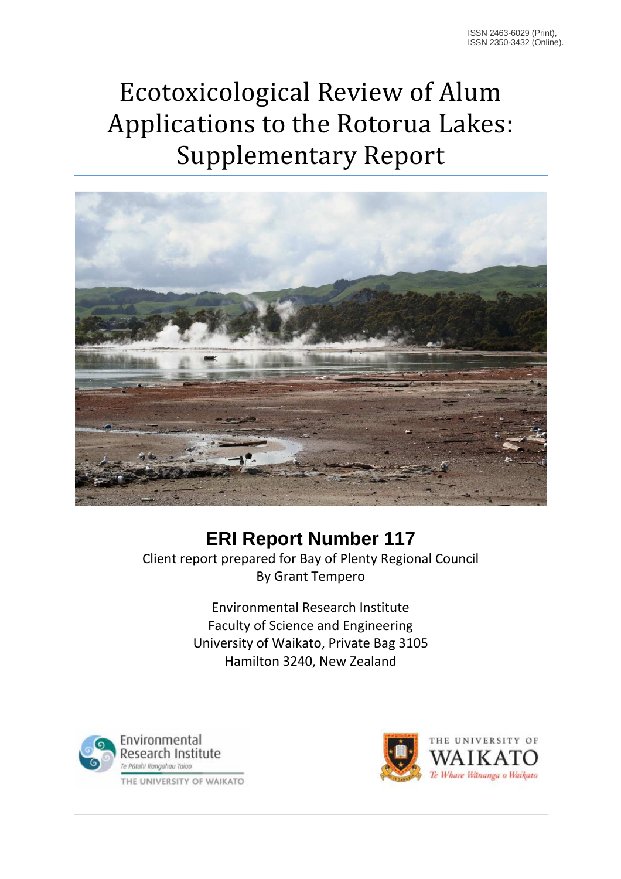# Ecotoxicological Review of Alum Applications to the Rotorua Lakes: Supplementary Report



#### **ERI Report Number 117**

Client report prepared for Bay of Plenty Regional Council By Grant Tempero

> Environmental Research Institute Faculty of Science and Engineering University of Waikato, Private Bag 3105 Hamilton 3240, New Zealand



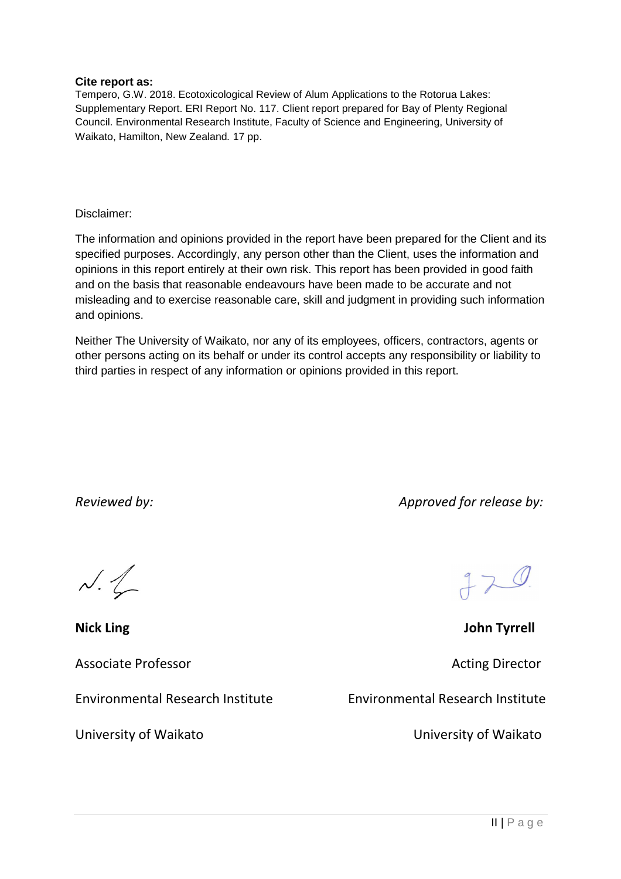#### **Cite report as:**

Tempero, G.W. 2018. Ecotoxicological Review of Alum Applications to the Rotorua Lakes: Supplementary Report. ERI Report No. 117. Client report prepared for Bay of Plenty Regional Council. Environmental Research Institute, Faculty of Science and Engineering, University of Waikato, Hamilton, New Zealand. 17 pp.

Disclaimer:

The information and opinions provided in the report have been prepared for the Client and its specified purposes. Accordingly, any person other than the Client, uses the information and opinions in this report entirely at their own risk. This report has been provided in good faith and on the basis that reasonable endeavours have been made to be accurate and not misleading and to exercise reasonable care, skill and judgment in providing such information and opinions.

Neither The University of Waikato, nor any of its employees, officers, contractors, agents or other persons acting on its behalf or under its control accepts any responsibility or liability to third parties in respect of any information or opinions provided in this report.

*Reviewed by: Approved for release by:* 

 $N. 1$ 

Associate Professor **Acting Director** Acting Director

Environmental Research Institute Environmental Research Institute

 $770$ 

**Nick Ling 32 and 22 and 23 and 24 and 24 and 25 and 26 and 26 and 26 and 26 and 26 and 26 and 26 and 26 and 26 and 26 and 26 and 26 and 26 and 26 and 26 and 26 and 26 and 26 and 26 and 26 and 26 and 26 and 26 and 26 and 2** 

University of Waikato University of Waikato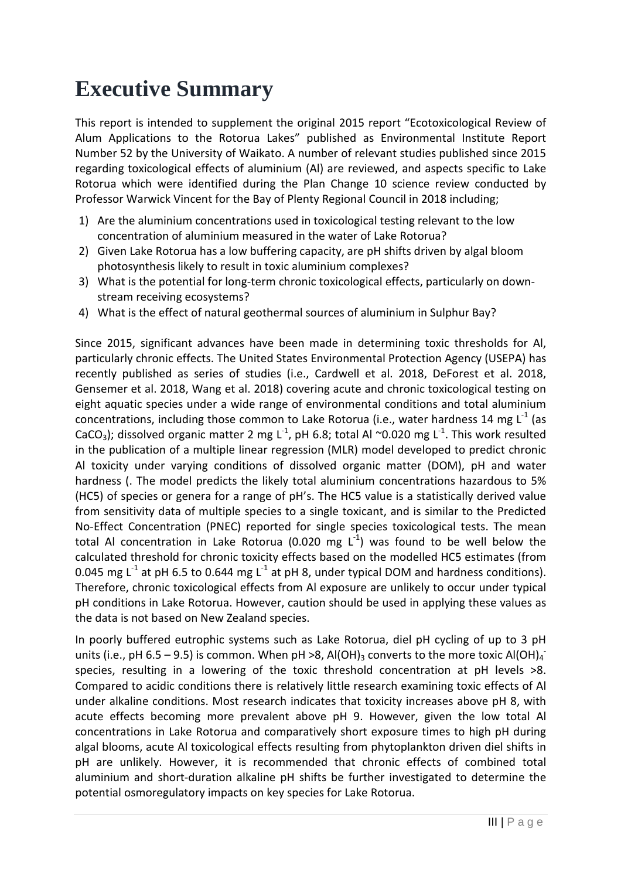# **Executive Summary**

This report is intended to supplement the original 2015 report "Ecotoxicological Review of Alum Applications to the Rotorua Lakes" published as Environmental Institute Report Number 52 by the University of Waikato. A number of relevant studies published since 2015 regarding toxicological effects of aluminium (Al) are reviewed, and aspects specific to Lake Rotorua which were identified during the Plan Change 10 science review conducted by Professor Warwick Vincent for the Bay of Plenty Regional Council in 2018 including;

- 1) Are the aluminium concentrations used in toxicological testing relevant to the low concentration of aluminium measured in the water of Lake Rotorua?
- 2) Given Lake Rotorua has a low buffering capacity, are pH shifts driven by algal bloom photosynthesis likely to result in toxic aluminium complexes?
- 3) What is the potential for long-term chronic toxicological effects, particularly on downstream receiving ecosystems?
- 4) What is the effect of natural geothermal sources of aluminium in Sulphur Bay?

Since 2015, significant advances have been made in determining toxic thresholds for Al, particularly chronic effects. The United States Environmental Protection Agency (USEPA) has recently published as series of studies (i.e., Cardwell et al. 2018, DeForest et al. 2018, Gensemer et al. 2018, Wang et al. 2018) covering acute and chronic toxicological testing on eight aquatic species under a wide range of environmental conditions and total aluminium concentrations, including those common to Lake Rotorua (i.e., water hardness 14 mg  $L^{-1}$  (as CaCO<sub>3</sub>); dissolved organic matter 2 mg L<sup>-1</sup>, pH 6.8; total Al ~0.020 mg L<sup>-1</sup>. This work resulted in the publication of a multiple linear regression (MLR) model developed to predict chronic Al toxicity under varying conditions of dissolved organic matter (DOM), pH and water hardness (. The model predicts the likely total aluminium concentrations hazardous to 5% (HC5) of species or genera for a range of pH's. The HC5 value is a statistically derived value from sensitivity data of multiple species to a single toxicant, and is similar to the Predicted No-Effect Concentration (PNEC) reported for single species toxicological tests. The mean total Al concentration in Lake Rotorua (0.020 mg  $L^{-1}$ ) was found to be well below the calculated threshold for chronic toxicity effects based on the modelled HC5 estimates (from 0.045 mg  $L^{-1}$  at pH 6.5 to 0.644 mg  $L^{-1}$  at pH 8, under typical DOM and hardness conditions). Therefore, chronic toxicological effects from Al exposure are unlikely to occur under typical pH conditions in Lake Rotorua. However, caution should be used in applying these values as the data is not based on New Zealand species.

In poorly buffered eutrophic systems such as Lake Rotorua, diel pH cycling of up to 3 pH units (i.e., pH 6.5 – 9.5) is common. When pH >8, Al(OH)<sub>3</sub> converts to the more toxic Al(OH)<sub>4</sub><sup>-</sup> species, resulting in a lowering of the toxic threshold concentration at pH levels  $>8$ . Compared to acidic conditions there is relatively little research examining toxic effects of Al under alkaline conditions. Most research indicates that toxicity increases above pH 8, with acute effects becoming more prevalent above pH 9. However, given the low total Al concentrations in Lake Rotorua and comparatively short exposure times to high pH during algal blooms, acute Al toxicological effects resulting from phytoplankton driven diel shifts in pH are unlikely. However, it is recommended that chronic effects of combined total aluminium and short-duration alkaline pH shifts be further investigated to determine the potential osmoregulatory impacts on key species for Lake Rotorua.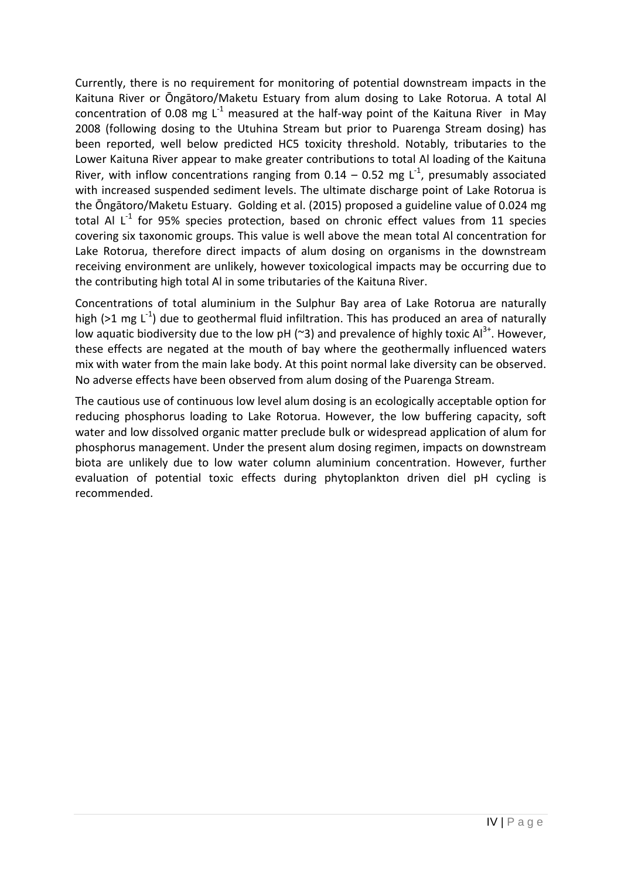Currently, there is no requirement for monitoring of potential downstream impacts in the Kaituna River or Ōngātoro/Maketu Estuary from alum dosing to Lake Rotorua. A total Al concentration of 0.08 mg  $L^{-1}$  measured at the half-way point of the Kaituna River in May 2008 (following dosing to the Utuhina Stream but prior to Puarenga Stream dosing) has been reported, well below predicted HC5 toxicity threshold. Notably, tributaries to the Lower Kaituna River appear to make greater contributions to total Al loading of the Kaituna River, with inflow concentrations ranging from 0.14 – 0.52 mg  $L^{-1}$ , presumably associated with increased suspended sediment levels. The ultimate discharge point of Lake Rotorua is the Ōngātoro/Maketu Estuary. Golding et al. (2015) proposed a guideline value of 0.024 mg total Al  $L^{-1}$  for 95% species protection, based on chronic effect values from 11 species covering six taxonomic groups. This value is well above the mean total Al concentration for Lake Rotorua, therefore direct impacts of alum dosing on organisms in the downstream receiving environment are unlikely, however toxicological impacts may be occurring due to the contributing high total Al in some tributaries of the Kaituna River.

Concentrations of total aluminium in the Sulphur Bay area of Lake Rotorua are naturally high (>1 mg  $L^{-1}$ ) due to geothermal fluid infiltration. This has produced an area of naturally low aquatic biodiversity due to the low pH ( $\approx$ 3) and prevalence of highly toxic Al<sup>3+</sup>. However, these effects are negated at the mouth of bay where the geothermally influenced waters mix with water from the main lake body. At this point normal lake diversity can be observed. No adverse effects have been observed from alum dosing of the Puarenga Stream.

The cautious use of continuous low level alum dosing is an ecologically acceptable option for reducing phosphorus loading to Lake Rotorua. However, the low buffering capacity, soft water and low dissolved organic matter preclude bulk or widespread application of alum for phosphorus management. Under the present alum dosing regimen, impacts on downstream biota are unlikely due to low water column aluminium concentration. However, further evaluation of potential toxic effects during phytoplankton driven diel pH cycling is recommended.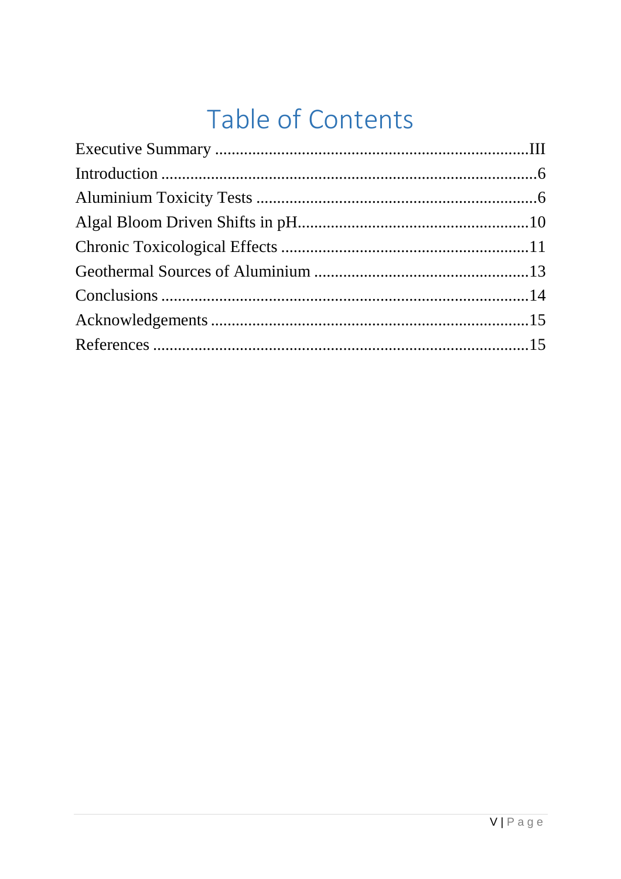# Table of Contents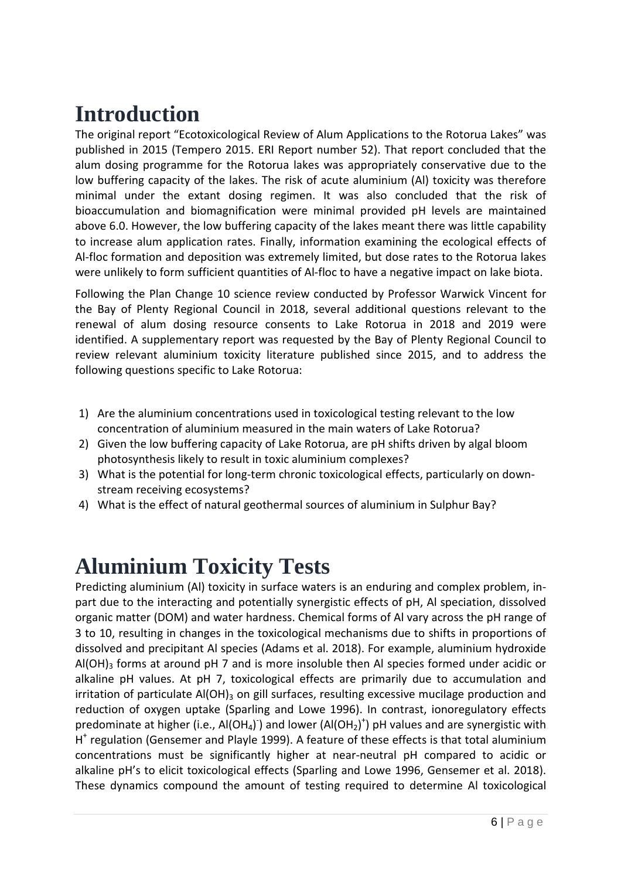# **Introduction**

The original report "Ecotoxicological Review of Alum Applications to the Rotorua Lakes" was published in 2015 (Tempero 2015. ERI Report number 52). That report concluded that the alum dosing programme for the Rotorua lakes was appropriately conservative due to the low buffering capacity of the lakes. The risk of acute aluminium (Al) toxicity was therefore minimal under the extant dosing regimen. It was also concluded that the risk of bioaccumulation and biomagnification were minimal provided pH levels are maintained above 6.0. However, the low buffering capacity of the lakes meant there was little capability to increase alum application rates. Finally, information examining the ecological effects of Al-floc formation and deposition was extremely limited, but dose rates to the Rotorua lakes were unlikely to form sufficient quantities of Al-floc to have a negative impact on lake biota.

Following the Plan Change 10 science review conducted by Professor Warwick Vincent for the Bay of Plenty Regional Council in 2018, several additional questions relevant to the renewal of alum dosing resource consents to Lake Rotorua in 2018 and 2019 were identified. A supplementary report was requested by the Bay of Plenty Regional Council to review relevant aluminium toxicity literature published since 2015, and to address the following questions specific to Lake Rotorua:

- 1) Are the aluminium concentrations used in toxicological testing relevant to the low concentration of aluminium measured in the main waters of Lake Rotorua?
- 2) Given the low buffering capacity of Lake Rotorua, are pH shifts driven by algal bloom photosynthesis likely to result in toxic aluminium complexes?
- 3) What is the potential for long-term chronic toxicological effects, particularly on downstream receiving ecosystems?
- 4) What is the effect of natural geothermal sources of aluminium in Sulphur Bay?

## **Aluminium Toxicity Tests**

Predicting aluminium (Al) toxicity in surface waters is an enduring and complex problem, inpart due to the interacting and potentially synergistic effects of pH, Al speciation, dissolved organic matter (DOM) and water hardness. Chemical forms of Al vary across the pH range of 3 to 10, resulting in changes in the toxicological mechanisms due to shifts in proportions of dissolved and precipitant Al species (Adams et al. 2018). For example, aluminium hydroxide  $AI(OH)$ <sub>3</sub> forms at around pH 7 and is more insoluble then Al species formed under acidic or alkaline pH values. At pH 7, toxicological effects are primarily due to accumulation and irritation of particulate  $AI(OH)$ <sub>3</sub> on gill surfaces, resulting excessive mucilage production and reduction of oxygen uptake (Sparling and Lowe 1996). In contrast, ionoregulatory effects predominate at higher (i.e., Al(OH<sub>4</sub>) and lower (Al(OH<sub>2</sub>)<sup>+</sup>) pH values and are synergistic with H<sup>+</sup> regulation (Gensemer and Playle 1999). A feature of these effects is that total aluminium concentrations must be significantly higher at near-neutral pH compared to acidic or alkaline pH's to elicit toxicological effects (Sparling and Lowe 1996, Gensemer et al. 2018). These dynamics compound the amount of testing required to determine Al toxicological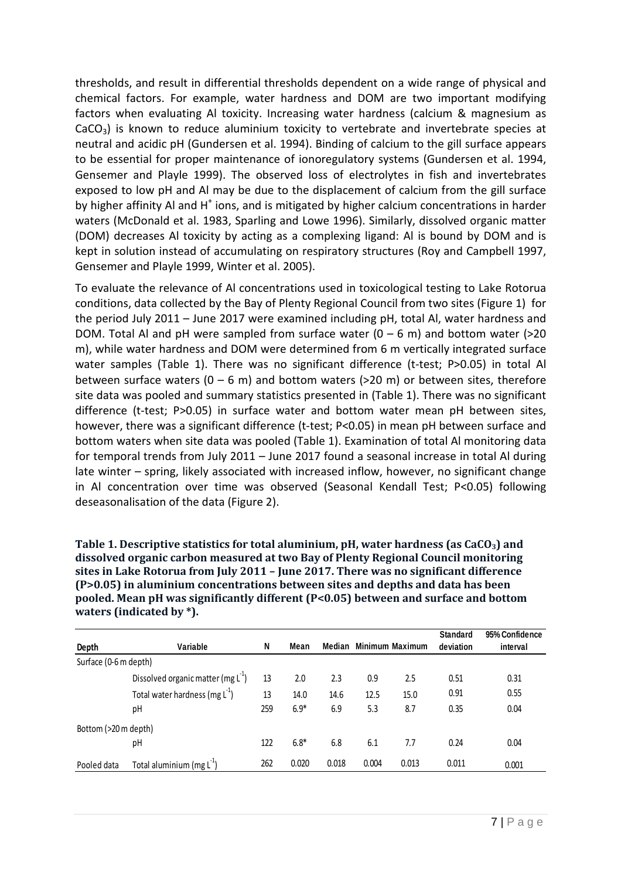thresholds, and result in differential thresholds dependent on a wide range of physical and chemical factors. For example, water hardness and DOM are two important modifying factors when evaluating Al toxicity. Increasing water hardness (calcium & magnesium as  $CaCO<sub>3</sub>$ ) is known to reduce aluminium toxicity to vertebrate and invertebrate species at neutral and acidic pH (Gundersen et al. 1994). Binding of calcium to the gill surface appears to be essential for proper maintenance of ionoregulatory systems (Gundersen et al. 1994, Gensemer and Playle 1999). The observed loss of electrolytes in fish and invertebrates exposed to low pH and Al may be due to the displacement of calcium from the gill surface by higher affinity AI and H<sup>+</sup> ions, and is mitigated by higher calcium concentrations in harder waters (McDonald et al. 1983, Sparling and Lowe 1996). Similarly, dissolved organic matter (DOM) decreases Al toxicity by acting as a complexing ligand: Al is bound by DOM and is kept in solution instead of accumulating on respiratory structures (Roy and Campbell 1997, Gensemer and Playle 1999, Winter et al. 2005).

To evaluate the relevance of Al concentrations used in toxicological testing to Lake Rotorua conditions, data collected by the Bay of Plenty Regional Council from two sites (Figure 1) for the period July 2011 – June 2017 were examined including pH, total Al, water hardness and DOM. Total Al and pH were sampled from surface water  $(0 - 6$  m) and bottom water (>20 m), while water hardness and DOM were determined from 6 m vertically integrated surface water samples (Table 1). There was no significant difference (t-test; P>0.05) in total Al between surface waters ( $0 - 6$  m) and bottom waters (>20 m) or between sites, therefore site data was pooled and summary statistics presented in (Table 1). There was no significant difference (t-test; P>0.05) in surface water and bottom water mean pH between sites, however, there was a significant difference (t-test; P<0.05) in mean pH between surface and bottom waters when site data was pooled (Table 1). Examination of total Al monitoring data for temporal trends from July 2011 – June 2017 found a seasonal increase in total Al during late winter – spring, likely associated with increased inflow, however, no significant change in Al concentration over time was observed (Seasonal Kendall Test; P<0.05) following deseasonalisation of the data (Figure 2).

**Table 1. Descriptive statistics for total aluminium, pH, water hardness (as CaCO3) and dissolved organic carbon measured at two Bay of Plenty Regional Council monitoring sites in Lake Rotorua from July 2011 – June 2017. There was no significant difference (P>0.05) in aluminium concentrations between sites and depths and data has been pooled. Mean pH was significantly different (P<0.05) between and surface and bottom waters (indicated by \*).**

| Depth                 | Variable                             | N   | Mean   | Median |       | Minimum Maximum | <b>Standard</b><br>deviation | 95% Confidence<br>interval |
|-----------------------|--------------------------------------|-----|--------|--------|-------|-----------------|------------------------------|----------------------------|
| Surface (0-6 m depth) |                                      |     |        |        |       |                 |                              |                            |
|                       | Dissolved organic matter (mg $L^1$ ) | 13  | 2.0    | 2.3    | 0.9   | 2.5             | 0.51                         | 0.31                       |
|                       | Total water hardness (mg $L^{-1}$ )  | 13  | 14.0   | 14.6   | 12.5  | 15.0            | 0.91                         | 0.55                       |
|                       | рH                                   | 259 | $6.9*$ | 6.9    | 5.3   | 8.7             | 0.35                         | 0.04                       |
| Bottom (>20 m depth)  |                                      |     |        |        |       |                 |                              |                            |
|                       | рH                                   | 122 | $6.8*$ | 6.8    | 6.1   | 7.7             | 0.24                         | 0.04                       |
| Pooled data           | Total aluminium (mg $L^{-1}$ )       | 262 | 0.020  | 0.018  | 0.004 | 0.013           | 0.011                        | 0.001                      |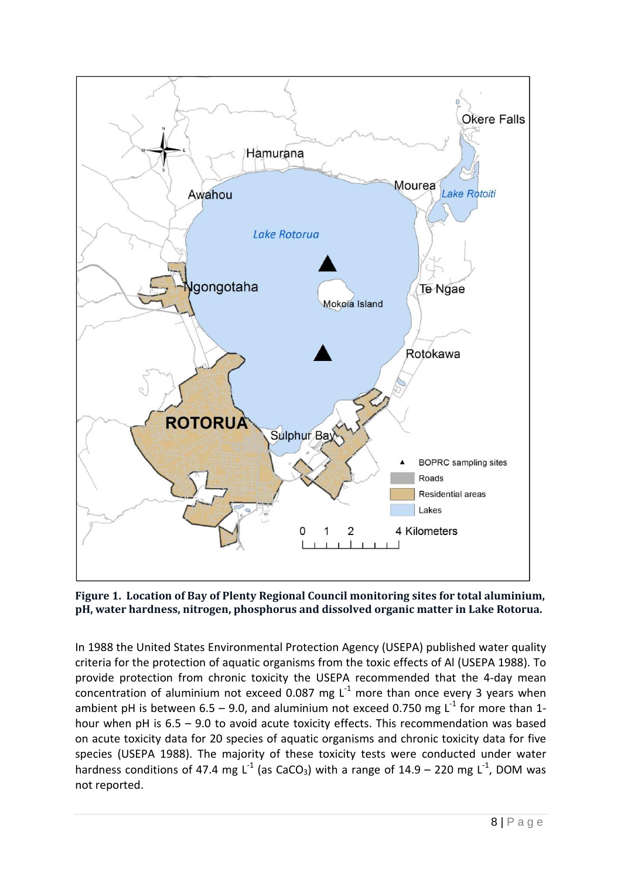

**Figure 1. Location of Bay of Plenty Regional Council monitoring sites for total aluminium, pH, water hardness, nitrogen, phosphorus and dissolved organic matter in Lake Rotorua.** 

In 1988 the United States Environmental Protection Agency (USEPA) published water quality criteria for the protection of aquatic organisms from the toxic effects of Al (USEPA 1988). To provide protection from chronic toxicity the USEPA recommended that the 4-day mean concentration of aluminium not exceed 0.087 mg  $L<sup>1</sup>$  more than once every 3 years when ambient pH is between 6.5 – 9.0, and aluminium not exceed 0.750 mg  $L^{-1}$  for more than 1hour when pH is 6.5 – 9.0 to avoid acute toxicity effects. This recommendation was based on acute toxicity data for 20 species of aquatic organisms and chronic toxicity data for five species (USEPA 1988). The majority of these toxicity tests were conducted under water hardness conditions of 47.4 mg L<sup>-1</sup> (as CaCO<sub>3</sub>) with a range of 14.9 – 220 mg L<sup>-1</sup>, DOM was not reported.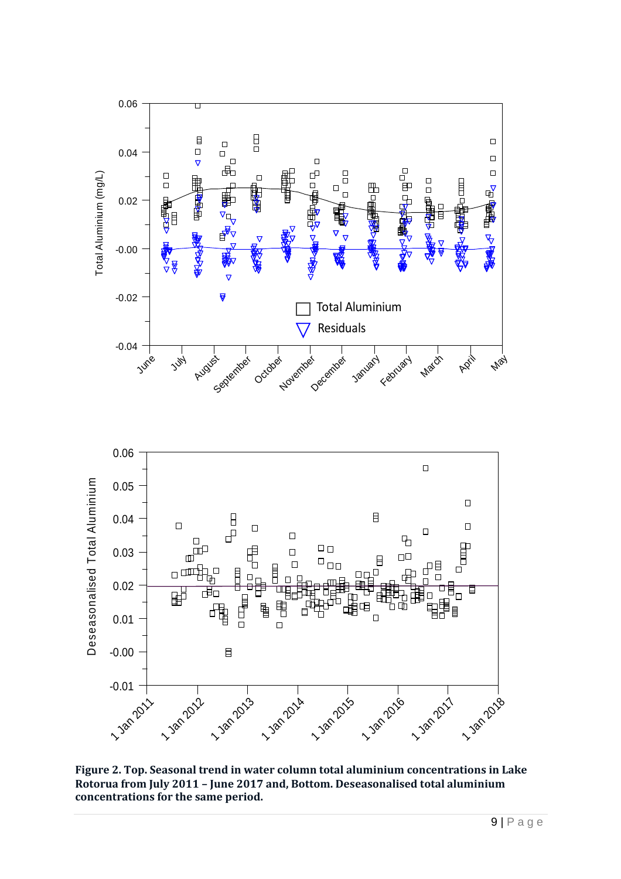

**Figure 2. Top. Seasonal trend in water column total aluminium concentrations in Lake Rotorua from July 2011 – June 2017 and, Bottom. Deseasonalised total aluminium**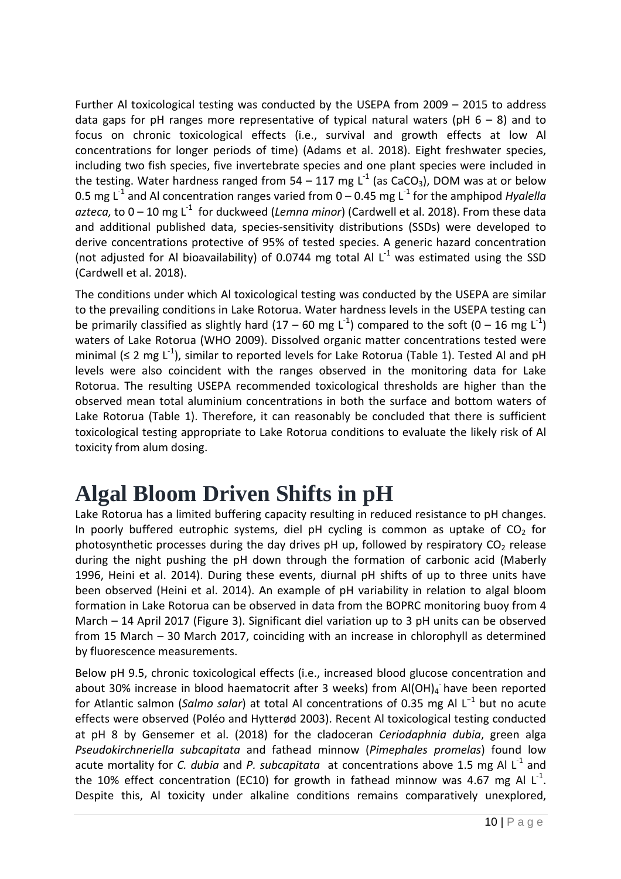Further Al toxicological testing was conducted by the USEPA from 2009 – 2015 to address data gaps for pH ranges more representative of typical natural waters (pH  $6 - 8$ ) and to focus on chronic toxicological effects (i.e., survival and growth effects at low Al concentrations for longer periods of time) (Adams et al. 2018). Eight freshwater species, including two fish species, five invertebrate species and one plant species were included in the testing. Water hardness ranged from 54 – 117 mg  $L^{-1}$  (as CaCO<sub>3</sub>), DOM was at or below 0.5 mg L<sup>-1</sup> and Al concentration ranges varied from  $0 - 0.45$  mg L<sup>-1</sup> for the amphipod *Hyalella azteca,* to  $0 - 10$  mg L<sup>-1</sup> for duckweed (*Lemna minor*) (Cardwell et al. 2018). From these data and additional published data, species-sensitivity distributions (SSDs) were developed to derive concentrations protective of 95% of tested species. A generic hazard concentration (not adjusted for Al bioavailability) of 0.0744 mg total Al  $L^{-1}$  was estimated using the SSD (Cardwell et al. 2018).

The conditions under which Al toxicological testing was conducted by the USEPA are similar to the prevailing conditions in Lake Rotorua. Water hardness levels in the USEPA testing can be primarily classified as slightly hard (17 – 60 mg L<sup>-1</sup>) compared to the soft (0 – 16 mg L<sup>-1</sup>) waters of Lake Rotorua (WHO 2009). Dissolved organic matter concentrations tested were minimal ( $\leq 2$  mg L<sup>-1</sup>), similar to reported levels for Lake Rotorua (Table 1). Tested Al and pH levels were also coincident with the ranges observed in the monitoring data for Lake Rotorua. The resulting USEPA recommended toxicological thresholds are higher than the observed mean total aluminium concentrations in both the surface and bottom waters of Lake Rotorua (Table 1). Therefore, it can reasonably be concluded that there is sufficient toxicological testing appropriate to Lake Rotorua conditions to evaluate the likely risk of Al toxicity from alum dosing.

# **Algal Bloom Driven Shifts in pH**

Lake Rotorua has a limited buffering capacity resulting in reduced resistance to pH changes. In poorly buffered eutrophic systems, diel pH cycling is common as uptake of  $CO<sub>2</sub>$  for photosynthetic processes during the day drives pH up, followed by respiratory  $CO<sub>2</sub>$  release during the night pushing the pH down through the formation of carbonic acid (Maberly 1996, Heini et al. 2014). During these events, diurnal pH shifts of up to three units have been observed (Heini et al. 2014). An example of pH variability in relation to algal bloom formation in Lake Rotorua can be observed in data from the BOPRC monitoring buoy from 4 March – 14 April 2017 (Figure 3). Significant diel variation up to 3 pH units can be observed from 15 March – 30 March 2017, coinciding with an increase in chlorophyll as determined by fluorescence measurements.

Below pH 9.5, chronic toxicological effects (i.e., increased blood glucose concentration and about 30% increase in blood haematocrit after 3 weeks) from  $AI(OH)_4$  have been reported for Atlantic salmon (*Salmo salar*) at total Al concentrations of 0.35 mg Al L−1 but no acute effects were observed (Poléo and Hytterød 2003). Recent Al toxicological testing conducted at pH 8 by Gensemer et al. (2018) for the cladoceran *Ceriodaphnia dubia*, green alga *Pseudokirchneriella subcapitata* and fathead minnow (*Pimephales promelas*) found low acute mortality for *C. dubia* and *P. subcapitata* at concentrations above 1.5 mg Al L<sup>-1</sup> and the 10% effect concentration (EC10) for growth in fathead minnow was 4.67 mg Al L<sup>-1</sup>. Despite this, Al toxicity under alkaline conditions remains comparatively unexplored,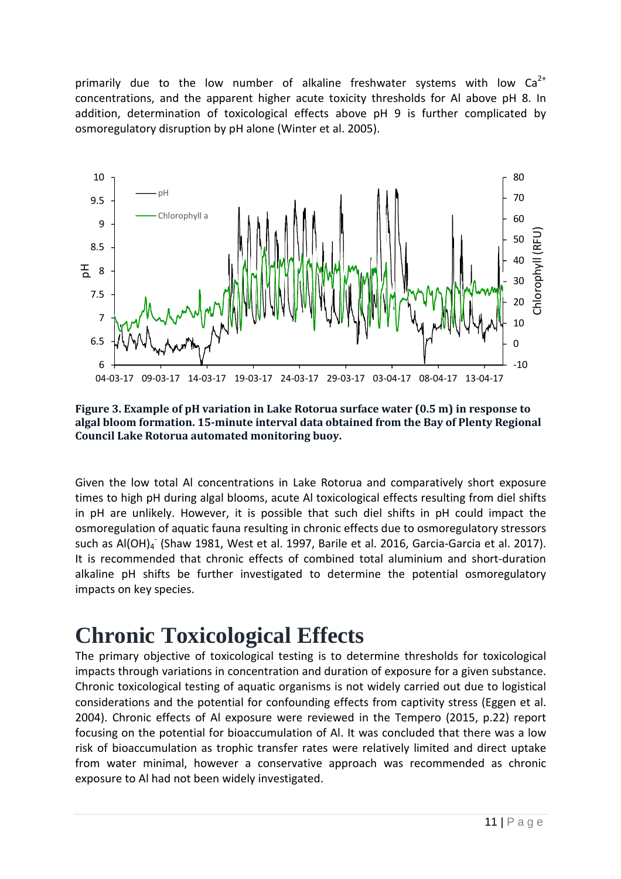primarily due to the low number of alkaline freshwater systems with low  $Ca^{2+}$ concentrations, and the apparent higher acute toxicity thresholds for Al above pH 8. In addition, determination of toxicological effects above pH 9 is further complicated by osmoregulatory disruption by pH alone (Winter et al. 2005).



**Figure 3. Example of pH variation in Lake Rotorua surface water (0.5 m) in response to algal bloom formation. 15-minute interval data obtained from the Bay of Plenty Regional Council Lake Rotorua automated monitoring buoy.**

Given the low total Al concentrations in Lake Rotorua and comparatively short exposure times to high pH during algal blooms, acute Al toxicological effects resulting from diel shifts in pH are unlikely. However, it is possible that such diel shifts in pH could impact the osmoregulation of aquatic fauna resulting in chronic effects due to osmoregulatory stressors such as Al(OH)<sub>4</sub><sup>-</sup> (Shaw 1981, West et al. 1997, Barile et al. 2016, Garcia-Garcia et al. 2017). It is recommended that chronic effects of combined total aluminium and short-duration alkaline pH shifts be further investigated to determine the potential osmoregulatory impacts on key species.

## **Chronic Toxicological Effects**

The primary objective of toxicological testing is to determine thresholds for toxicological impacts through variations in concentration and duration of exposure for a given substance. Chronic toxicological testing of aquatic organisms is not widely carried out due to logistical considerations and the potential for confounding effects from captivity stress (Eggen et al. 2004). Chronic effects of Al exposure were reviewed in the Tempero (2015, p.22) report focusing on the potential for bioaccumulation of Al. It was concluded that there was a low risk of bioaccumulation as trophic transfer rates were relatively limited and direct uptake from water minimal, however a conservative approach was recommended as chronic exposure to Al had not been widely investigated.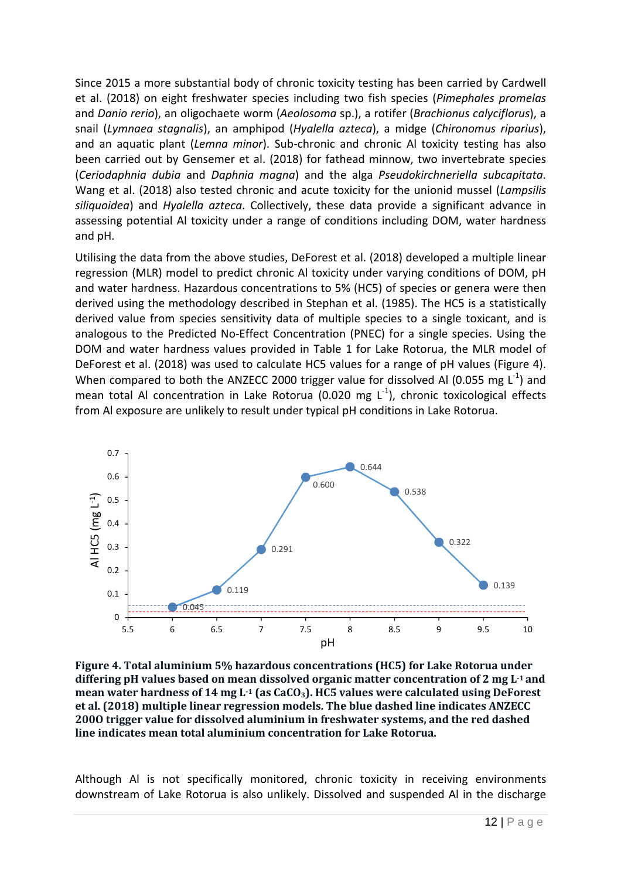Since 2015 a more substantial body of chronic toxicity testing has been carried by Cardwell et al. (2018) on eight freshwater species including two fish species (*Pimephales promelas* and *Danio rerio*), an oligochaete worm (*Aeolosoma* sp.), a rotifer (*Brachionus calyciflorus*), a snail (*Lymnaea stagnalis*), an amphipod (*Hyalella azteca*), a midge (*Chironomus riparius*), and an aquatic plant (*Lemna minor*). Sub-chronic and chronic Al toxicity testing has also been carried out by Gensemer et al. (2018) for fathead minnow, two invertebrate species (*Ceriodaphnia dubia* and *Daphnia magna*) and the alga *Pseudokirchneriella subcapitata*. Wang et al. (2018) also tested chronic and acute toxicity for the unionid mussel (*Lampsilis siliquoidea*) and *Hyalella azteca*. Collectively, these data provide a significant advance in assessing potential Al toxicity under a range of conditions including DOM, water hardness and pH.

Utilising the data from the above studies, DeForest et al. (2018) developed a multiple linear regression (MLR) model to predict chronic Al toxicity under varying conditions of DOM, pH and water hardness. Hazardous concentrations to 5% (HC5) of species or genera were then derived using the methodology described in Stephan et al. (1985). The HC5 is a statistically derived value from species sensitivity data of multiple species to a single toxicant, and is analogous to the Predicted No-Effect Concentration (PNEC) for a single species. Using the DOM and water hardness values provided in Table 1 for Lake Rotorua, the MLR model of DeForest et al. (2018) was used to calculate HC5 values for a range of pH values (Figure 4). When compared to both the ANZECC 2000 trigger value for dissolved Al (0.055 mg  $L^{-1}$ ) and mean total Al concentration in Lake Rotorua (0.020 mg  $L^{-1}$ ), chronic toxicological effects from Al exposure are unlikely to result under typical pH conditions in Lake Rotorua.



**Figure 4. Total aluminium 5% hazardous concentrations (HC5) for Lake Rotorua under differing pH values based on mean dissolved organic matter concentration of 2 mg L-1 and mean water hardness of 14 mg L-1 (as CaCO3). HC5 values were calculated using DeForest et al. (2018) multiple linear regression models. The blue dashed line indicates ANZECC 200O trigger value for dissolved aluminium in freshwater systems, and the red dashed line indicates mean total aluminium concentration for Lake Rotorua.**

Although Al is not specifically monitored, chronic toxicity in receiving environments downstream of Lake Rotorua is also unlikely. Dissolved and suspended Al in the discharge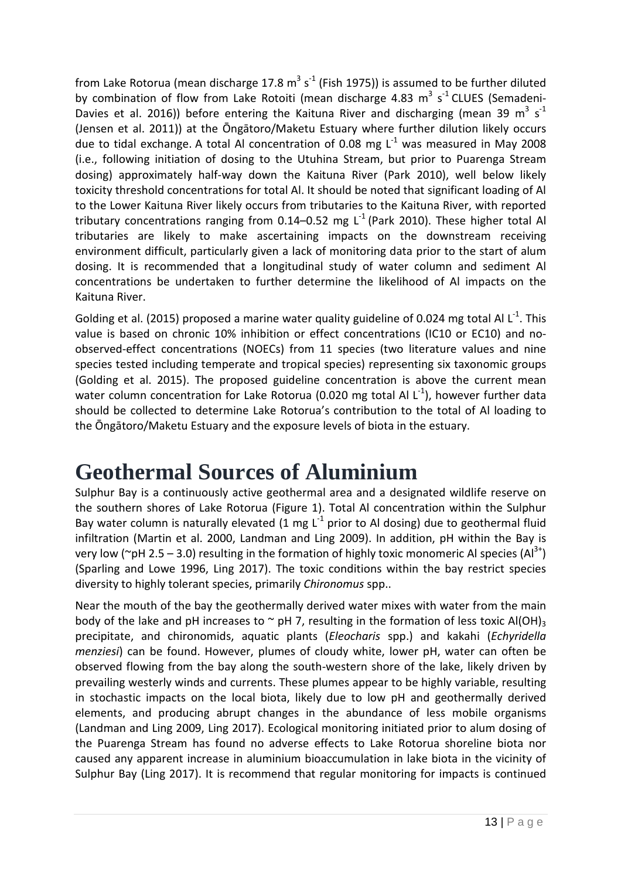from Lake Rotorua (mean discharge 17.8 m<sup>3</sup> s<sup>-1</sup> (Fish 1975)) is assumed to be further diluted by combination of flow from Lake Rotoiti (mean discharge 4.83  $m^3$  s<sup>-1</sup> CLUES (Semadeni-Davies et al. 2016)) before entering the Kaituna River and discharging (mean 39 m<sup>3</sup> s<sup>-1</sup> (Jensen et al. 2011)) at the Ōngātoro/Maketu Estuary where further dilution likely occurs due to tidal exchange. A total Al concentration of 0.08 mg  $L^{-1}$  was measured in May 2008 (i.e., following initiation of dosing to the Utuhina Stream, but prior to Puarenga Stream dosing) approximately half-way down the Kaituna River (Park 2010), well below likely toxicity threshold concentrations for total Al. It should be noted that significant loading of Al to the Lower Kaituna River likely occurs from tributaries to the Kaituna River, with reported tributary concentrations ranging from 0.14–0.52 mg L<sup>-1</sup> (Park 2010). These higher total Al tributaries are likely to make ascertaining impacts on the downstream receiving environment difficult, particularly given a lack of monitoring data prior to the start of alum dosing. It is recommended that a longitudinal study of water column and sediment Al concentrations be undertaken to further determine the likelihood of Al impacts on the Kaituna River.

Golding et al. (2015) proposed a marine water quality guideline of 0.024 mg total Al  $L^{-1}$ . This value is based on chronic 10% inhibition or effect concentrations (IC10 or EC10) and noobserved-effect concentrations (NOECs) from 11 species (two literature values and nine species tested including temperate and tropical species) representing six taxonomic groups (Golding et al. 2015). The proposed guideline concentration is above the current mean water column concentration for Lake Rotorua (0.020 mg total Al  $L^{-1}$ ), however further data should be collected to determine Lake Rotorua's contribution to the total of Al loading to the Ōngātoro/Maketu Estuary and the exposure levels of biota in the estuary.

# **Geothermal Sources of Aluminium**

Sulphur Bay is a continuously active geothermal area and a designated wildlife reserve on the southern shores of Lake Rotorua (Figure 1). Total Al concentration within the Sulphur Bay water column is naturally elevated (1 mg  $L^{-1}$  prior to Al dosing) due to geothermal fluid infiltration (Martin et al. 2000, Landman and Ling 2009). In addition, pH within the Bay is very low ( $\gamma$ pH 2.5 – 3.0) resulting in the formation of highly toxic monomeric Al species (Al<sup>3+</sup>) (Sparling and Lowe 1996, Ling 2017). The toxic conditions within the bay restrict species diversity to highly tolerant species, primarily *Chironomus* spp..

Near the mouth of the bay the geothermally derived water mixes with water from the main body of the lake and pH increases to  $\sim$  pH 7, resulting in the formation of less toxic Al(OH)<sub>3</sub> precipitate, and chironomids, aquatic plants (*Eleocharis* spp.) and kakahi (*Echyridella menziesi*) can be found. However, plumes of cloudy white, lower pH, water can often be observed flowing from the bay along the south-western shore of the lake, likely driven by prevailing westerly winds and currents. These plumes appear to be highly variable, resulting in stochastic impacts on the local biota, likely due to low pH and geothermally derived elements, and producing abrupt changes in the abundance of less mobile organisms (Landman and Ling 2009, Ling 2017). Ecological monitoring initiated prior to alum dosing of the Puarenga Stream has found no adverse effects to Lake Rotorua shoreline biota nor caused any apparent increase in aluminium bioaccumulation in lake biota in the vicinity of Sulphur Bay (Ling 2017). It is recommend that regular monitoring for impacts is continued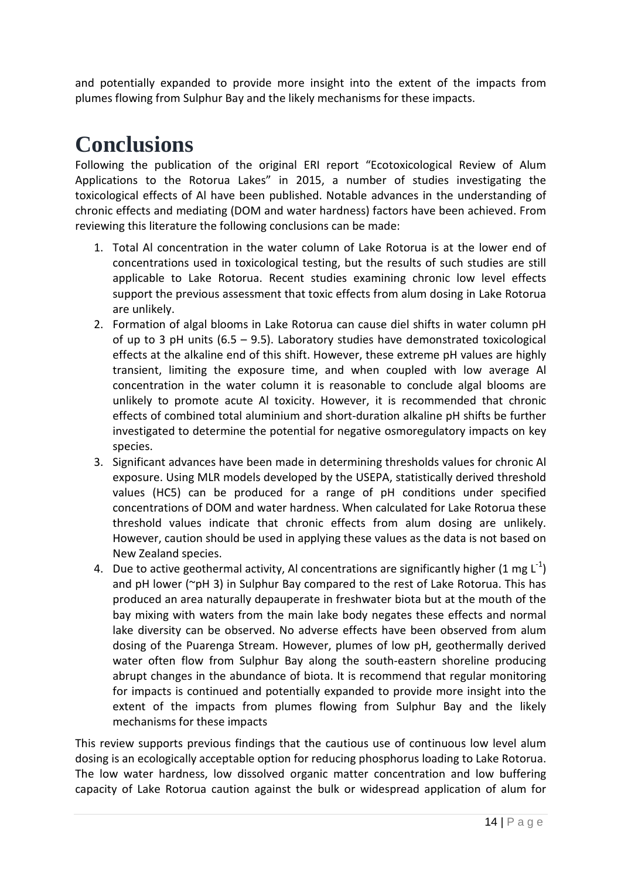and potentially expanded to provide more insight into the extent of the impacts from plumes flowing from Sulphur Bay and the likely mechanisms for these impacts.

## **Conclusions**

Following the publication of the original ERI report "Ecotoxicological Review of Alum Applications to the Rotorua Lakes" in 2015, a number of studies investigating the toxicological effects of Al have been published. Notable advances in the understanding of chronic effects and mediating (DOM and water hardness) factors have been achieved. From reviewing this literature the following conclusions can be made:

- 1. Total Al concentration in the water column of Lake Rotorua is at the lower end of concentrations used in toxicological testing, but the results of such studies are still applicable to Lake Rotorua. Recent studies examining chronic low level effects support the previous assessment that toxic effects from alum dosing in Lake Rotorua are unlikely.
- 2. Formation of algal blooms in Lake Rotorua can cause diel shifts in water column pH of up to 3 pH units (6.5 – 9.5). Laboratory studies have demonstrated toxicological effects at the alkaline end of this shift. However, these extreme pH values are highly transient, limiting the exposure time, and when coupled with low average Al concentration in the water column it is reasonable to conclude algal blooms are unlikely to promote acute Al toxicity. However, it is recommended that chronic effects of combined total aluminium and short-duration alkaline pH shifts be further investigated to determine the potential for negative osmoregulatory impacts on key species.
- 3. Significant advances have been made in determining thresholds values for chronic Al exposure. Using MLR models developed by the USEPA, statistically derived threshold values (HC5) can be produced for a range of pH conditions under specified concentrations of DOM and water hardness. When calculated for Lake Rotorua these threshold values indicate that chronic effects from alum dosing are unlikely. However, caution should be used in applying these values as the data is not based on New Zealand species.
- 4. Due to active geothermal activity, AI concentrations are significantly higher (1 mg  $L^{-1}$ ) and pH lower ( $\sim$ pH 3) in Sulphur Bay compared to the rest of Lake Rotorua. This has produced an area naturally depauperate in freshwater biota but at the mouth of the bay mixing with waters from the main lake body negates these effects and normal lake diversity can be observed. No adverse effects have been observed from alum dosing of the Puarenga Stream. However, plumes of low pH, geothermally derived water often flow from Sulphur Bay along the south-eastern shoreline producing abrupt changes in the abundance of biota. It is recommend that regular monitoring for impacts is continued and potentially expanded to provide more insight into the extent of the impacts from plumes flowing from Sulphur Bay and the likely mechanisms for these impacts

This review supports previous findings that the cautious use of continuous low level alum dosing is an ecologically acceptable option for reducing phosphorus loading to Lake Rotorua. The low water hardness, low dissolved organic matter concentration and low buffering capacity of Lake Rotorua caution against the bulk or widespread application of alum for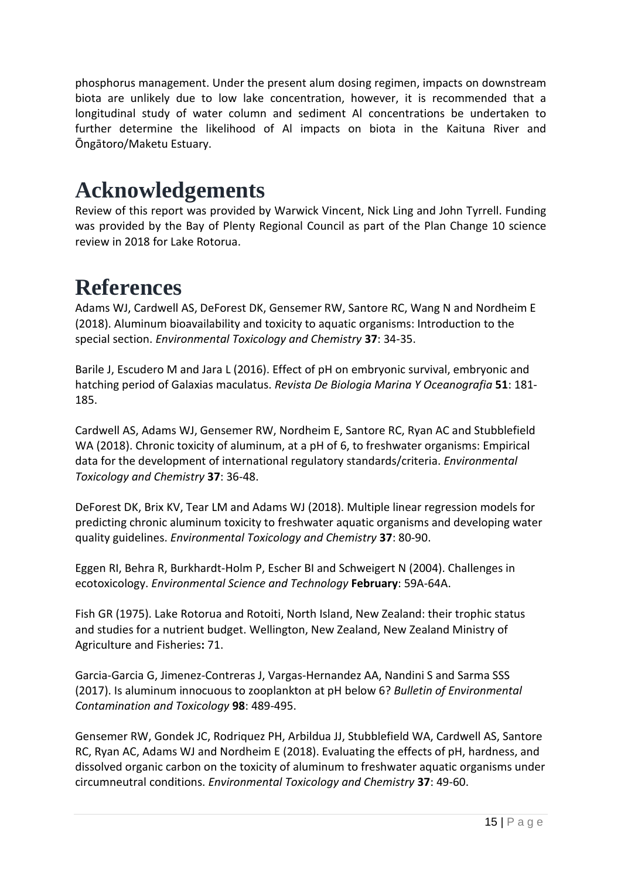phosphorus management. Under the present alum dosing regimen, impacts on downstream biota are unlikely due to low lake concentration, however, it is recommended that a longitudinal study of water column and sediment Al concentrations be undertaken to further determine the likelihood of Al impacts on biota in the Kaituna River and Ōngātoro/Maketu Estuary.

#### **Acknowledgements**

Review of this report was provided by Warwick Vincent, Nick Ling and John Tyrrell. Funding was provided by the Bay of Plenty Regional Council as part of the Plan Change 10 science review in 2018 for Lake Rotorua.

## **References**

Adams WJ, Cardwell AS, DeForest DK, Gensemer RW, Santore RC, Wang N and Nordheim E (2018). Aluminum bioavailability and toxicity to aquatic organisms: Introduction to the special section. *Environmental Toxicology and Chemistry* **37**: 34-35.

Barile J, Escudero M and Jara L (2016). Effect of pH on embryonic survival, embryonic and hatching period of Galaxias maculatus. *Revista De Biologia Marina Y Oceanografia* **51**: 181- 185.

Cardwell AS, Adams WJ, Gensemer RW, Nordheim E, Santore RC, Ryan AC and Stubblefield WA (2018). Chronic toxicity of aluminum, at a pH of 6, to freshwater organisms: Empirical data for the development of international regulatory standards/criteria. *Environmental Toxicology and Chemistry* **37**: 36-48.

DeForest DK, Brix KV, Tear LM and Adams WJ (2018). Multiple linear regression models for predicting chronic aluminum toxicity to freshwater aquatic organisms and developing water quality guidelines. *Environmental Toxicology and Chemistry* **37**: 80-90.

Eggen RI, Behra R, Burkhardt-Holm P, Escher BI and Schweigert N (2004). Challenges in ecotoxicology. *Environmental Science and Technology* **February**: 59A-64A.

Fish GR (1975). Lake Rotorua and Rotoiti, North Island, New Zealand: their trophic status and studies for a nutrient budget. Wellington, New Zealand, New Zealand Ministry of Agriculture and Fisheries**:** 71.

Garcia-Garcia G, Jimenez-Contreras J, Vargas-Hernandez AA, Nandini S and Sarma SSS (2017). Is aluminum innocuous to zooplankton at pH below 6? *Bulletin of Environmental Contamination and Toxicology* **98**: 489-495.

Gensemer RW, Gondek JC, Rodriquez PH, Arbildua JJ, Stubblefield WA, Cardwell AS, Santore RC, Ryan AC, Adams WJ and Nordheim E (2018). Evaluating the effects of pH, hardness, and dissolved organic carbon on the toxicity of aluminum to freshwater aquatic organisms under circumneutral conditions. *Environmental Toxicology and Chemistry* **37**: 49-60.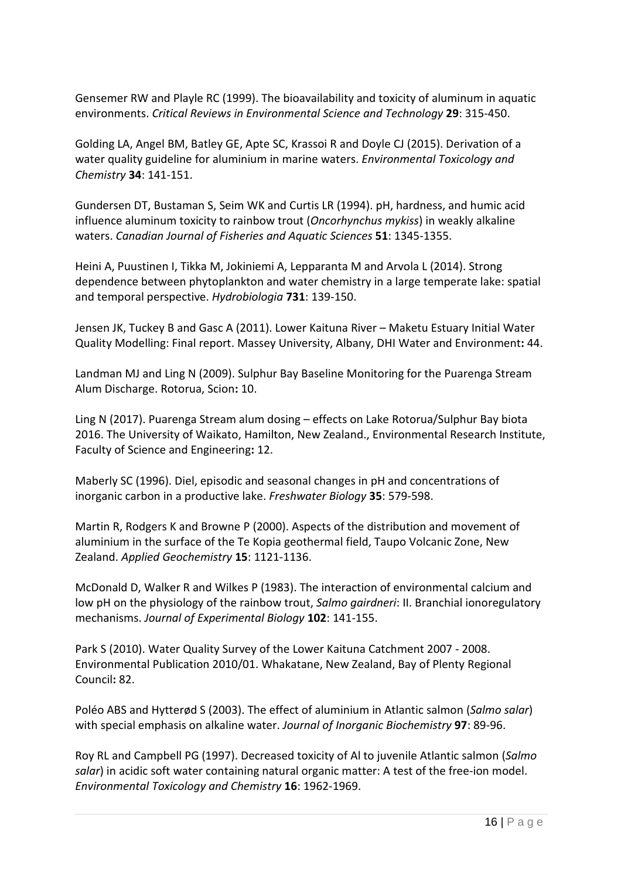Gensemer RW and Playle RC (1999). The bioavailability and toxicity of aluminum in aquatic environments. *Critical Reviews in Environmental Science and Technology* **29**: 315-450.

Golding LA, Angel BM, Batley GE, Apte SC, Krassoi R and Doyle CJ (2015). Derivation of a water quality guideline for aluminium in marine waters. *Environmental Toxicology and Chemistry* **34**: 141-151.

Gundersen DT, Bustaman S, Seim WK and Curtis LR (1994). pH, hardness, and humic acid influence aluminum toxicity to rainbow trout (*Oncorhynchus mykiss*) in weakly alkaline waters. *Canadian Journal of Fisheries and Aquatic Sciences* **51**: 1345-1355.

Heini A, Puustinen I, Tikka M, Jokiniemi A, Lepparanta M and Arvola L (2014). Strong dependence between phytoplankton and water chemistry in a large temperate lake: spatial and temporal perspective. *Hydrobiologia* **731**: 139-150.

Jensen JK, Tuckey B and Gasc A (2011). Lower Kaituna River – Maketu Estuary Initial Water Quality Modelling: Final report. Massey University, Albany, DHI Water and Environment**:** 44.

Landman MJ and Ling N (2009). Sulphur Bay Baseline Monitoring for the Puarenga Stream Alum Discharge. Rotorua, Scion**:** 10.

Ling N (2017). Puarenga Stream alum dosing – effects on Lake Rotorua/Sulphur Bay biota 2016. The University of Waikato, Hamilton, New Zealand., Environmental Research Institute, Faculty of Science and Engineering**:** 12.

Maberly SC (1996). Diel, episodic and seasonal changes in pH and concentrations of inorganic carbon in a productive lake. *Freshwater Biology* **35**: 579-598.

Martin R, Rodgers K and Browne P (2000). Aspects of the distribution and movement of aluminium in the surface of the Te Kopia geothermal field, Taupo Volcanic Zone, New Zealand. *Applied Geochemistry* **15**: 1121-1136.

McDonald D, Walker R and Wilkes P (1983). The interaction of environmental calcium and low pH on the physiology of the rainbow trout, *Salmo gairdneri*: II. Branchial ionoregulatory mechanisms. *Journal of Experimental Biology* **102**: 141-155.

Park S (2010). Water Quality Survey of the Lower Kaituna Catchment 2007 - 2008. Environmental Publication 2010/01. Whakatane, New Zealand, Bay of Plenty Regional Council**:** 82.

Poléo ABS and Hytterød S (2003). The effect of aluminium in Atlantic salmon (*Salmo salar*) with special emphasis on alkaline water. *Journal of Inorganic Biochemistry* **97**: 89-96.

Roy RL and Campbell PG (1997). Decreased toxicity of Al to juvenile Atlantic salmon (*Salmo salar*) in acidic soft water containing natural organic matter: A test of the free-ion model. *Environmental Toxicology and Chemistry* **16**: 1962-1969.